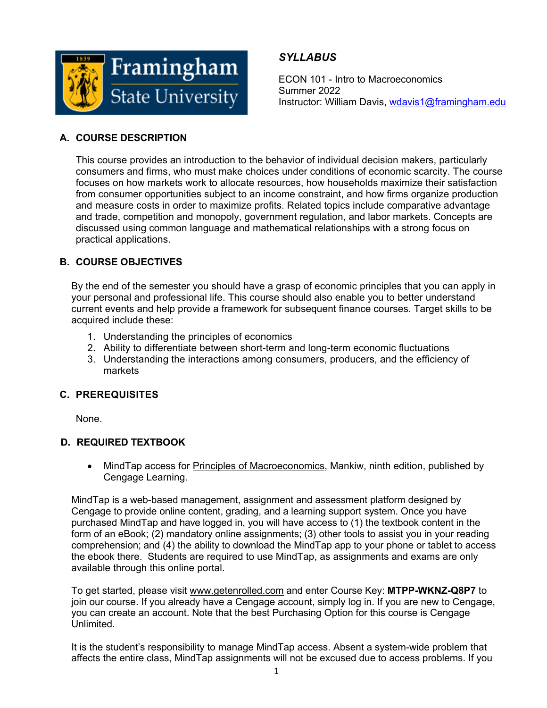

## *SYLLABUS*

ECON 101 - Intro to Macroeconomics Summer 2022 Instructor: William Davis, wdavis1@framingham.edu

## **A. COURSE DESCRIPTION**

This course provides an introduction to the behavior of individual decision makers, particularly consumers and firms, who must make choices under conditions of economic scarcity. The course focuses on how markets work to allocate resources, how households maximize their satisfaction from consumer opportunities subject to an income constraint, and how firms organize production and measure costs in order to maximize profits. Related topics include comparative advantage and trade, competition and monopoly, government regulation, and labor markets. Concepts are discussed using common language and mathematical relationships with a strong focus on practical applications.

## **B. COURSE OBJECTIVES**

By the end of the semester you should have a grasp of economic principles that you can apply in your personal and professional life. This course should also enable you to better understand current events and help provide a framework for subsequent finance courses. Target skills to be acquired include these:

- 1. Understanding the principles of economics
- 2. Ability to differentiate between short-term and long-term economic fluctuations
- 3. Understanding the interactions among consumers, producers, and the efficiency of markets

## **C. PREREQUISITES**

None.

## **D. REQUIRED TEXTBOOK**

• MindTap access for Principles of Macroeconomics, Mankiw, ninth edition, published by Cengage Learning.

MindTap is a web-based management, assignment and assessment platform designed by Cengage to provide online content, grading, and a learning support system. Once you have purchased MindTap and have logged in, you will have access to (1) the textbook content in the form of an eBook; (2) mandatory online assignments; (3) other tools to assist you in your reading comprehension; and (4) the ability to download the MindTap app to your phone or tablet to access the ebook there. Students are required to use MindTap, as assignments and exams are only available through this online portal.

To get started, please visit www.getenrolled.com and enter Course Key: **MTPP-WKNZ-Q8P7** to join our course. If you already have a Cengage account, simply log in. If you are new to Cengage, you can create an account. Note that the best Purchasing Option for this course is Cengage Unlimited.

It is the student's responsibility to manage MindTap access. Absent a system-wide problem that affects the entire class, MindTap assignments will not be excused due to access problems. If you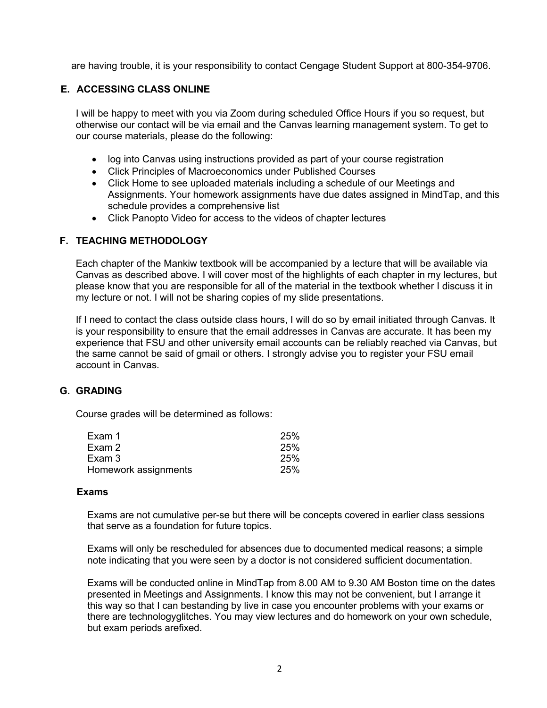are having trouble, it is your responsibility to contact Cengage Student Support at 800-354-9706.

#### **E. ACCESSING CLASS ONLINE**

I will be happy to meet with you via Zoom during scheduled Office Hours if you so request, but otherwise our contact will be via email and the Canvas learning management system. To get to our course materials, please do the following:

- log into Canvas using instructions provided as part of your course registration
- Click Principles of Macroeconomics under Published Courses
- Click Home to see uploaded materials including a schedule of our Meetings and Assignments. Your homework assignments have due dates assigned in MindTap, and this schedule provides a comprehensive list
- Click Panopto Video for access to the videos of chapter lectures

#### **F. TEACHING METHODOLOGY**

Each chapter of the Mankiw textbook will be accompanied by a lecture that will be available via Canvas as described above. I will cover most of the highlights of each chapter in my lectures, but please know that you are responsible for all of the material in the textbook whether I discuss it in my lecture or not. I will not be sharing copies of my slide presentations.

If I need to contact the class outside class hours, I will do so by email initiated through Canvas. It is your responsibility to ensure that the email addresses in Canvas are accurate. It has been my experience that FSU and other university email accounts can be reliably reached via Canvas, but the same cannot be said of gmail or others. I strongly advise you to register your FSU email account in Canvas.

#### **G. GRADING**

Course grades will be determined as follows:

| Exam 1               | <b>25%</b> |
|----------------------|------------|
| Exam 2               | <b>25%</b> |
| Exam 3               | <b>25%</b> |
| Homework assignments | 25%        |

#### **Exams**

Exams are not cumulative per-se but there will be concepts covered in earlier class sessions that serve as a foundation for future topics.

Exams will only be rescheduled for absences due to documented medical reasons; a simple note indicating that you were seen by a doctor is not considered sufficient documentation.

Exams will be conducted online in MindTap from 8.00 AM to 9.30 AM Boston time on the dates presented in Meetings and Assignments. I know this may not be convenient, but I arrange it this way so that I can bestanding by live in case you encounter problems with your exams or there are technologyglitches. You may view lectures and do homework on your own schedule, but exam periods arefixed.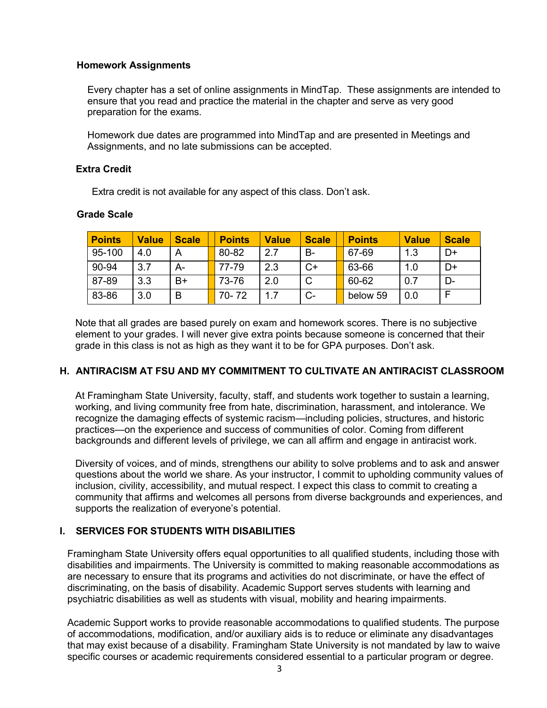#### **Homework Assignments**

Every chapter has a set of online assignments in MindTap. These assignments are intended to ensure that you read and practice the material in the chapter and serve as very good preparation for the exams.

Homework due dates are programmed into MindTap and are presented in Meetings and Assignments, and no late submissions can be accepted.

#### **Extra Credit**

Extra credit is not available for any aspect of this class. Don't ask.

| <b>Points</b> | <b>Value</b> | <b>Scale</b> | <b>Points</b> | <b>Value</b> | <b>Scale</b> | <b>Points</b> | <b>Value</b> | <b>Scale</b> |
|---------------|--------------|--------------|---------------|--------------|--------------|---------------|--------------|--------------|
| 95-100        | 4.0          | А            | 80-82         | 2.7          | B-           | 67-69         | 1.3          | D+           |
| 90-94         | 3.7          | А-           | 77-79         | 2.3          | $C+$         | 63-66         | 1.0          | D+           |
| 87-89         | 3.3          | B+           | 73-76         | 2.0          | $\mathsf{C}$ | 60-62         | 0.7          | D-           |
| 83-86         | 3.0          | В            | 70-72         | 1.7          | $C-$         | below 59      | 0.0          |              |

#### **Grade Scale**

Note that all grades are based purely on exam and homework scores. There is no subjective element to your grades. I will never give extra points because someone is concerned that their grade in this class is not as high as they want it to be for GPA purposes. Don't ask.

#### **H. ANTIRACISM AT FSU AND MY COMMITMENT TO CULTIVATE AN ANTIRACIST CLASSROOM**

At Framingham State University, faculty, staff, and students work together to sustain a learning, working, and living community free from hate, discrimination, harassment, and intolerance. We recognize the damaging effects of systemic racism—including policies, structures, and historic practices—on the experience and success of communities of color. Coming from different backgrounds and different levels of privilege, we can all affirm and engage in antiracist work.

Diversity of voices, and of minds, strengthens our ability to solve problems and to ask and answer questions about the world we share. As your instructor, I commit to upholding community values of inclusion, civility, accessibility, and mutual respect. I expect this class to commit to creating a community that affirms and welcomes all persons from diverse backgrounds and experiences, and supports the realization of everyone's potential.

#### **I. SERVICES FOR STUDENTS WITH DISABILITIES**

Framingham State University offers equal opportunities to all qualified students, including those with disabilities and impairments. The University is committed to making reasonable accommodations as are necessary to ensure that its programs and activities do not discriminate, or have the effect of discriminating, on the basis of disability. Academic Support serves students with learning and psychiatric disabilities as well as students with visual, mobility and hearing impairments.

Academic Support works to provide reasonable accommodations to qualified students. The purpose of accommodations, modification, and/or auxiliary aids is to reduce or eliminate any disadvantages that may exist because of a disability. Framingham State University is not mandated by law to waive specific courses or academic requirements considered essential to a particular program or degree.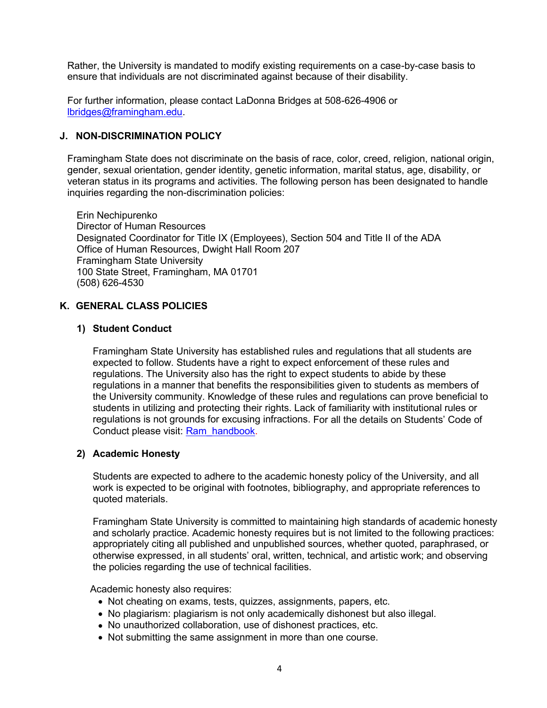Rather, the University is mandated to modify existing requirements on a case-by-case basis to ensure that individuals are not discriminated against because of their disability.

For further information, please contact LaDonna Bridges at 508-626-4906 or lbridges@framingham.edu.

#### **J. NON-DISCRIMINATION POLICY**

Framingham State does not discriminate on the basis of race, color, creed, religion, national origin, gender, sexual orientation, gender identity, genetic information, marital status, age, disability, or veteran status in its programs and activities. The following person has been designated to handle inquiries regarding the non-discrimination policies:

Erin Nechipurenko Director of Human Resources Designated Coordinator for Title IX (Employees), Section 504 and Title II of the ADA Office of Human Resources, Dwight Hall Room 207 Framingham State University 100 State Street, Framingham, MA 01701 (508) 626-4530

#### **K. GENERAL CLASS POLICIES**

#### **1) Student Conduct**

Framingham State University has established rules and regulations that all students are expected to follow. Students have a right to expect enforcement of these rules and regulations. The University also has the right to expect students to abide by these regulations in a manner that benefits the responsibilities given to students as members of the University community. Knowledge of these rules and regulations can prove beneficial to students in utilizing and protecting their rights. Lack of familiarity with institutional rules or regulations is not grounds for excusing infractions. For all the details on Students' Code of Conduct please visit: Ram\_handbook.

#### **2) Academic Honesty**

Students are expected to adhere to the academic honesty policy of the University, and all work is expected to be original with footnotes, bibliography, and appropriate references to quoted materials.

Framingham State University is committed to maintaining high standards of academic honesty and scholarly practice. Academic honesty requires but is not limited to the following practices: appropriately citing all published and unpublished sources, whether quoted, paraphrased, or otherwise expressed, in all students' oral, written, technical, and artistic work; and observing the policies regarding the use of technical facilities.

Academic honesty also requires:

- Not cheating on exams, tests, quizzes, assignments, papers, etc.
- No plagiarism: plagiarism is not only academically dishonest but also illegal.
- No unauthorized collaboration, use of dishonest practices, etc.
- Not submitting the same assignment in more than one course.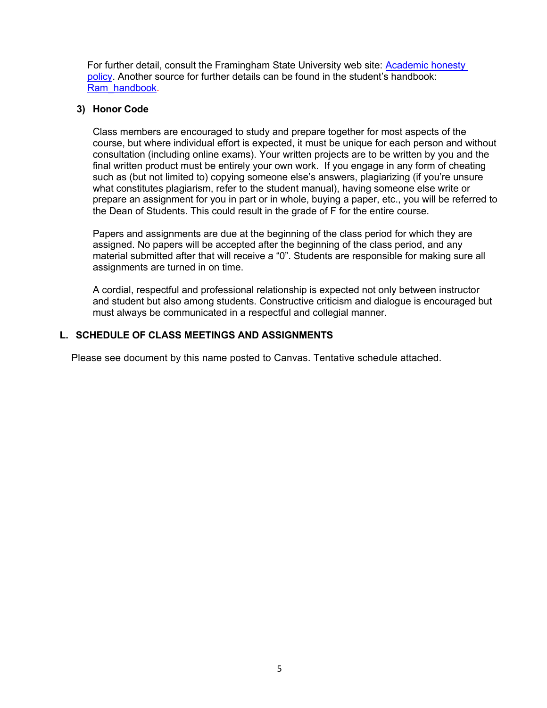For further detail, consult the Framingham State University web site: Academic honesty policy. Another source for further details can be found in the student's handbook: Ram\_handbook.

#### **3) Honor Code**

Class members are encouraged to study and prepare together for most aspects of the course, but where individual effort is expected, it must be unique for each person and without consultation (including online exams). Your written projects are to be written by you and the final written product must be entirely your own work. If you engage in any form of cheating such as (but not limited to) copying someone else's answers, plagiarizing (if you're unsure what constitutes plagiarism, refer to the student manual), having someone else write or prepare an assignment for you in part or in whole, buying a paper, etc., you will be referred to the Dean of Students. This could result in the grade of F for the entire course.

Papers and assignments are due at the beginning of the class period for which they are assigned. No papers will be accepted after the beginning of the class period, and any material submitted after that will receive a "0". Students are responsible for making sure all assignments are turned in on time.

A cordial, respectful and professional relationship is expected not only between instructor and student but also among students. Constructive criticism and dialogue is encouraged but must always be communicated in a respectful and collegial manner.

#### **L. SCHEDULE OF CLASS MEETINGS AND ASSIGNMENTS**

Please see document by this name posted to Canvas. Tentative schedule attached.